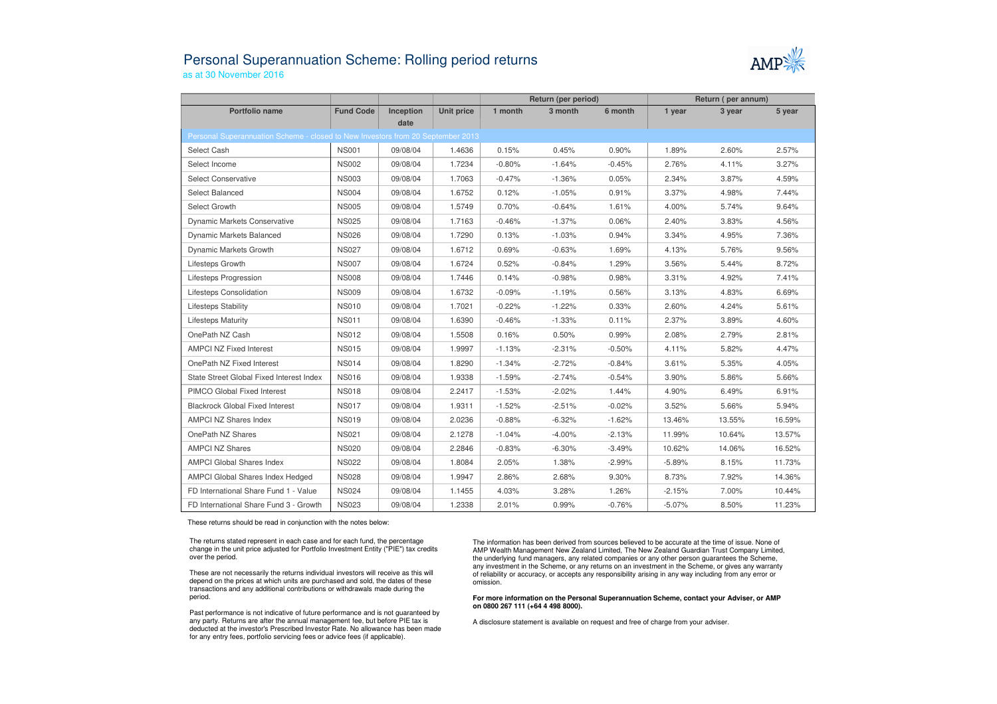## Personal Superannuation Scheme: Rolling period returnsas at 30 November 2016



|                                                                                 |                  |           |            | Return (per period) |          |          | Return (per annum) |        |        |  |  |  |  |
|---------------------------------------------------------------------------------|------------------|-----------|------------|---------------------|----------|----------|--------------------|--------|--------|--|--|--|--|
| Portfolio name                                                                  | <b>Fund Code</b> | Inception | Unit price | 1 month             | 3 month  | 6 month  | 1 year             | 3 year | 5 year |  |  |  |  |
| date                                                                            |                  |           |            |                     |          |          |                    |        |        |  |  |  |  |
| Personal Superannuation Scheme - closed to New Investors from 20 September 2013 |                  |           |            |                     |          |          |                    |        |        |  |  |  |  |
| Select Cash                                                                     | <b>NS001</b>     | 09/08/04  | 1.4636     | 0.15%               | 0.45%    | 0.90%    | 1.89%              | 2.60%  | 2.57%  |  |  |  |  |
| Select Income                                                                   | <b>NS002</b>     | 09/08/04  | 1.7234     | $-0.80%$            | $-1.64%$ | $-0.45%$ | 2.76%              | 4.11%  | 3.27%  |  |  |  |  |
| <b>Select Conservative</b>                                                      | <b>NS003</b>     | 09/08/04  | 1.7063     | $-0.47%$            | $-1.36%$ | 0.05%    | 2.34%              | 3.87%  | 4.59%  |  |  |  |  |
| Select Balanced                                                                 | <b>NS004</b>     | 09/08/04  | 1.6752     | 0.12%               | $-1.05%$ | 0.91%    | 3.37%              | 4.98%  | 7.44%  |  |  |  |  |
| Select Growth                                                                   | <b>NS005</b>     | 09/08/04  | 1.5749     | 0.70%               | $-0.64%$ | 1.61%    | 4.00%              | 5.74%  | 9.64%  |  |  |  |  |
| <b>Dynamic Markets Conservative</b>                                             | <b>NS025</b>     | 09/08/04  | 1.7163     | $-0.46%$            | $-1.37%$ | 0.06%    | 2.40%              | 3.83%  | 4.56%  |  |  |  |  |
| <b>Dynamic Markets Balanced</b>                                                 | <b>NS026</b>     | 09/08/04  | 1.7290     | 0.13%               | $-1.03%$ | 0.94%    | 3.34%              | 4.95%  | 7.36%  |  |  |  |  |
| Dynamic Markets Growth                                                          | <b>NS027</b>     | 09/08/04  | 1.6712     | 0.69%               | $-0.63%$ | 1.69%    | 4.13%              | 5.76%  | 9.56%  |  |  |  |  |
| Lifesteps Growth                                                                | <b>NS007</b>     | 09/08/04  | 1.6724     | 0.52%               | $-0.84%$ | 1.29%    | 3.56%              | 5.44%  | 8.72%  |  |  |  |  |
| <b>Lifesteps Progression</b>                                                    | <b>NS008</b>     | 09/08/04  | 1.7446     | 0.14%               | $-0.98%$ | 0.98%    | 3.31%              | 4.92%  | 7.41%  |  |  |  |  |
| Lifesteps Consolidation                                                         | <b>NS009</b>     | 09/08/04  | 1.6732     | $-0.09%$            | $-1.19%$ | 0.56%    | 3.13%              | 4.83%  | 6.69%  |  |  |  |  |
| <b>Lifesteps Stability</b>                                                      | <b>NS010</b>     | 09/08/04  | 1.7021     | $-0.22%$            | $-1.22%$ | 0.33%    | 2.60%              | 4.24%  | 5.61%  |  |  |  |  |
| <b>Lifesteps Maturity</b>                                                       | <b>NS011</b>     | 09/08/04  | 1.6390     | $-0.46%$            | $-1.33%$ | 0.11%    | 2.37%              | 3.89%  | 4.60%  |  |  |  |  |
| OnePath NZ Cash                                                                 | <b>NS012</b>     | 09/08/04  | 1.5508     | 0.16%               | 0.50%    | 0.99%    | 2.08%              | 2.79%  | 2.81%  |  |  |  |  |
| <b>AMPCI NZ Fixed Interest</b>                                                  | <b>NS015</b>     | 09/08/04  | 1.9997     | $-1.13%$            | $-2.31%$ | $-0.50%$ | 4.11%              | 5.82%  | 4.47%  |  |  |  |  |
| OnePath NZ Fixed Interest                                                       | <b>NS014</b>     | 09/08/04  | 1.8290     | $-1.34%$            | $-2.72%$ | $-0.84%$ | 3.61%              | 5.35%  | 4.05%  |  |  |  |  |
| State Street Global Fixed Interest Index                                        | <b>NS016</b>     | 09/08/04  | 1.9338     | $-1.59%$            | $-2.74%$ | $-0.54%$ | 3.90%              | 5.86%  | 5.66%  |  |  |  |  |
| PIMCO Global Fixed Interest                                                     | <b>NS018</b>     | 09/08/04  | 2.2417     | $-1.53%$            | $-2.02%$ | 1.44%    | 4.90%              | 6.49%  | 6.91%  |  |  |  |  |
| <b>Blackrock Global Fixed Interest</b>                                          | <b>NS017</b>     | 09/08/04  | 1.9311     | $-1.52%$            | $-2.51%$ | $-0.02%$ | 3.52%              | 5.66%  | 5.94%  |  |  |  |  |
| <b>AMPCI NZ Shares Index</b>                                                    | <b>NS019</b>     | 09/08/04  | 2.0236     | $-0.88%$            | $-6.32%$ | $-1.62%$ | 13.46%             | 13.55% | 16.59% |  |  |  |  |
| OnePath NZ Shares                                                               | <b>NS021</b>     | 09/08/04  | 2.1278     | $-1.04%$            | $-4.00%$ | $-2.13%$ | 11.99%             | 10.64% | 13.57% |  |  |  |  |
| <b>AMPCI NZ Shares</b>                                                          | <b>NS020</b>     | 09/08/04  | 2.2846     | $-0.83%$            | $-6.30%$ | $-3.49%$ | 10.62%             | 14.06% | 16.52% |  |  |  |  |
| <b>AMPCI Global Shares Index</b>                                                | <b>NS022</b>     | 09/08/04  | 1.8084     | 2.05%               | 1.38%    | $-2.99%$ | $-5.89%$           | 8.15%  | 11.73% |  |  |  |  |
| AMPCI Global Shares Index Hedged                                                | <b>NS028</b>     | 09/08/04  | 1.9947     | 2.86%               | 2.68%    | 9.30%    | 8.73%              | 7.92%  | 14.36% |  |  |  |  |
| FD International Share Fund 1 - Value                                           | <b>NS024</b>     | 09/08/04  | 1.1455     | 4.03%               | 3.28%    | 1.26%    | $-2.15%$           | 7.00%  | 10.44% |  |  |  |  |
| FD International Share Fund 3 - Growth                                          | <b>NS023</b>     | 09/08/04  | 1.2338     | 2.01%               | 0.99%    | $-0.76%$ | $-5.07%$           | 8.50%  | 11.23% |  |  |  |  |

These returns should be read in conjunction with the notes below:

The returns stated represent in each case and for each fund, the percentage change in the unit price adjusted for Portfolio Investment Entity ("PIE") tax credits over the period.

These are not necessarily the returns individual investors will receive as this will depend on the prices at which units are purchased and sold, the dates of these transactions and any additional contributions or withdrawals made during the period.

Past performance is not indicative of future performance and is not guaranteed by any party. Returns are after the annual management fee, but before PIE tax is deducted at the investor's Prescribed Investor Rate. No allowance has been made for any entry fees, portfolio servicing fees or advice fees (if applicable).

The information has been derived from sources believed to be accurate at the time of issue. None of AMP Wealth Management New Zealand Limited, The New Zealand Guardian Trust Company Limited, the underlying fund managers, any related companies or any other person guarantees the Scheme, any investment in the Scheme, or any returns on an investment in the Scheme, or gives any warranty of reliability or accuracy, or accepts any responsibility arising in any way including from any error or omission.

**For more information on the Personal Superannuation Scheme, contact your Adviser, or AMP on 0800 267 111 (+64 4 498 8000).**

A disclosure statement is available on request and free of charge from your adviser.